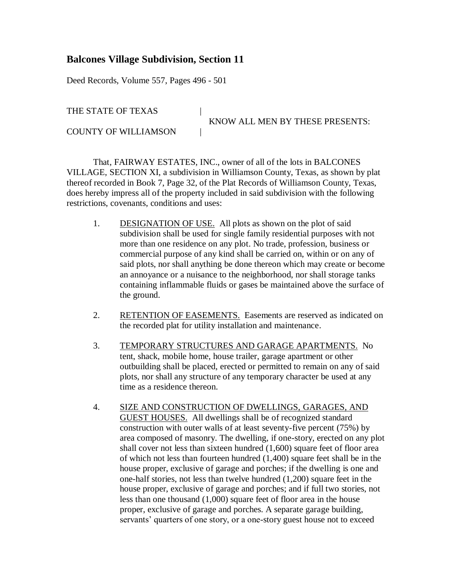# **Balcones Village Subdivision, Section 11**

Deed Records, Volume 557, Pages 496 - 501

THE STATE OF TEXAS |

COUNTY OF WILLIAMSON |

KNOW ALL MEN BY THESE PRESENTS:

That, FAIRWAY ESTATES, INC., owner of all of the lots in BALCONES VILLAGE, SECTION XI, a subdivision in Williamson County, Texas, as shown by plat thereof recorded in Book 7, Page 32, of the Plat Records of Williamson County, Texas, does hereby impress all of the property included in said subdivision with the following restrictions, covenants, conditions and uses:

- 1. DESIGNATION OF USE. All plots as shown on the plot of said subdivision shall be used for single family residential purposes with not more than one residence on any plot. No trade, profession, business or commercial purpose of any kind shall be carried on, within or on any of said plots, nor shall anything be done thereon which may create or become an annoyance or a nuisance to the neighborhood, nor shall storage tanks containing inflammable fluids or gases be maintained above the surface of the ground.
- 2. RETENTION OF EASEMENTS. Easements are reserved as indicated on the recorded plat for utility installation and maintenance.
- 3. TEMPORARY STRUCTURES AND GARAGE APARTMENTS. No tent, shack, mobile home, house trailer, garage apartment or other outbuilding shall be placed, erected or permitted to remain on any of said plots, nor shall any structure of any temporary character be used at any time as a residence thereon.
- 4. SIZE AND CONSTRUCTION OF DWELLINGS, GARAGES, AND GUEST HOUSES. All dwellings shall be of recognized standard construction with outer walls of at least seventy-five percent (75%) by area composed of masonry. The dwelling, if one-story, erected on any plot shall cover not less than sixteen hundred (1,600) square feet of floor area of which not less than fourteen hundred (1,400) square feet shall be in the house proper, exclusive of garage and porches; if the dwelling is one and one-half stories, not less than twelve hundred (1,200) square feet in the house proper, exclusive of garage and porches; and if full two stories, not less than one thousand (1,000) square feet of floor area in the house proper, exclusive of garage and porches. A separate garage building, servants' quarters of one story, or a one-story guest house not to exceed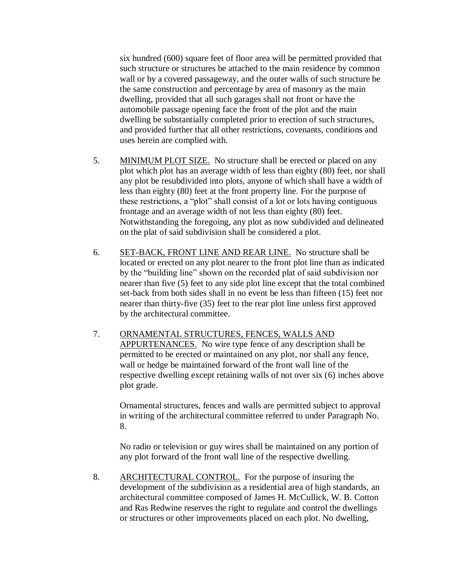six hundred (600) square feet of floor area will be permitted provided that such structure or structures be attached to the main residence by common wall or by a covered passageway, and the outer walls of such structure be the same construction and percentage by area of masonry as the main dwelling, provided that all such garages shall not front or have the automobile passage opening face the front of the plot and the main dwelling be substantially completed prior to erection of such structures, and provided further that all other restrictions, covenants, conditions and uses herein are complied with.

- 5. MINIMUM PLOT SIZE. No structure shall be erected or placed on any plot which plot has an average width of less than eighty (80) feet, nor shall any plot be resubdivided into plots, anyone of which shall have a width of less than eighty (80) feet at the front property line. For the purpose of these restrictions, a "plot" shall consist of a lot or lots having contiguous frontage and an average width of not less than eighty (80) feet. Notwithstanding the foregoing, any plot as now subdivided and delineated on the plat of said subdivision shall be considered a plot.
- 6. SET-BACK, FRONT LINE AND REAR LINE. No structure shall be located or erected on any plot nearer to the front plot line than as indicated by the "building line" shown on the recorded plat of said subdivision nor nearer than five (5) feet to any side plot line except that the total combined set-back from both sides shall in no event be less than fifteen (15) feet nor nearer than thirty-five (35) feet to the rear plot line unless first approved by the architectural committee.
- 7. ORNAMENTAL STRUCTURES, FENCES, WALLS AND APPURTENANCES. No wire type fence of any description shall be permitted to be erected or maintained on any plot, nor shall any fence, wall or hedge be maintained forward of the front wall line of the respective dwelling except retaining walls of not over six (6) inches above plot grade.

Ornamental structures, fences and walls are permitted subject to approval in writing of the architectural committee referred to under Paragraph No. 8.

No radio or television or guy wires shall be maintained on any portion of any plot forward of the front wall line of the respective dwelling.

8. ARCHITECTURAL CONTROL. For the purpose of insuring the development of the subdivision as a residential area of high standards, an architectural committee composed of James H. McCullick, W. B. Cotton and Ras Redwine reserves the right to regulate and control the dwellings or structures or other improvements placed on each plot. No dwelling,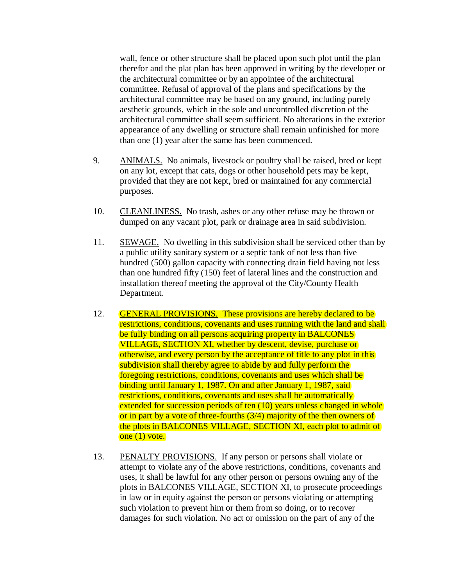wall, fence or other structure shall be placed upon such plot until the plan therefor and the plat plan has been approved in writing by the developer or the architectural committee or by an appointee of the architectural committee. Refusal of approval of the plans and specifications by the architectural committee may be based on any ground, including purely aesthetic grounds, which in the sole and uncontrolled discretion of the architectural committee shall seem sufficient. No alterations in the exterior appearance of any dwelling or structure shall remain unfinished for more than one (1) year after the same has been commenced.

- 9. ANIMALS. No animals, livestock or poultry shall be raised, bred or kept on any lot, except that cats, dogs or other household pets may be kept, provided that they are not kept, bred or maintained for any commercial purposes.
- 10. CLEANLINESS. No trash, ashes or any other refuse may be thrown or dumped on any vacant plot, park or drainage area in said subdivision.
- 11. SEWAGE. No dwelling in this subdivision shall be serviced other than by a public utility sanitary system or a septic tank of not less than five hundred (500) gallon capacity with connecting drain field having not less than one hundred fifty (150) feet of lateral lines and the construction and installation thereof meeting the approval of the City/County Health Department.
- 12. GENERAL PROVISIONS. These provisions are hereby declared to be restrictions, conditions, covenants and uses running with the land and shall be fully binding on all persons acquiring property in BALCONES VILLAGE, SECTION XI, whether by descent, devise, purchase or otherwise, and every person by the acceptance of title to any plot in this subdivision shall thereby agree to abide by and fully perform the foregoing restrictions, conditions, covenants and uses which shall be binding until January 1, 1987. On and after January 1, 1987, said restrictions, conditions, covenants and uses shall be automatically extended for succession periods of ten (10) years unless changed in whole or in part by a vote of three-fourths (3/4) majority of the then owners of the plots in BALCONES VILLAGE, SECTION XI, each plot to admit of one  $(1)$  vote.
- 13. PENALTY PROVISIONS. If any person or persons shall violate or attempt to violate any of the above restrictions, conditions, covenants and uses, it shall be lawful for any other person or persons owning any of the plots in BALCONES VILLAGE, SECTION XI, to prosecute proceedings in law or in equity against the person or persons violating or attempting such violation to prevent him or them from so doing, or to recover damages for such violation. No act or omission on the part of any of the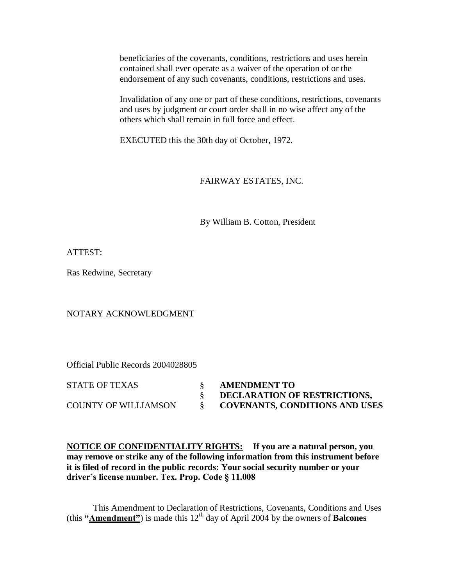beneficiaries of the covenants, conditions, restrictions and uses herein contained shall ever operate as a waiver of the operation of or the endorsement of any such covenants, conditions, restrictions and uses.

Invalidation of any one or part of these conditions, restrictions, covenants and uses by judgment or court order shall in no wise affect any of the others which shall remain in full force and effect.

EXECUTED this the 30th day of October, 1972.

FAIRWAY ESTATES, INC.

By William B. Cotton, President

ATTEST:

Ras Redwine, Secretary

#### NOTARY ACKNOWLEDGMENT

Official Public Records 2004028805

| STATE OF TEXAS              | <b>AMENDMENT TO</b>                   |
|-----------------------------|---------------------------------------|
|                             | DECLARATION OF RESTRICTIONS,          |
| <b>COUNTY OF WILLIAMSON</b> | <b>COVENANTS, CONDITIONS AND USES</b> |

**NOTICE OF CONFIDENTIALITY RIGHTS: If you are a natural person, you may remove or strike any of the following information from this instrument before it is filed of record in the public records: Your social security number or your driver's license number. Tex. Prop. Code § 11.008**

This Amendment to Declaration of Restrictions, Covenants, Conditions and Uses (this "**Amendment**") is made this  $12<sup>th</sup>$  day of April 2004 by the owners of **Balcones**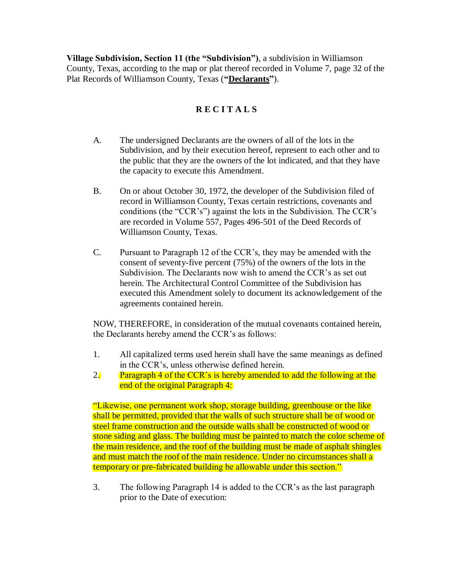**Village Subdivision, Section 11 (the "Subdivision")**, a subdivision in Williamson County, Texas, according to the map or plat thereof recorded in Volume 7, page 32 of the Plat Records of Williamson County, Texas (**"Declarants"**).

# **R E C I T A L S**

- A. The undersigned Declarants are the owners of all of the lots in the Subdivision, and by their execution hereof, represent to each other and to the public that they are the owners of the lot indicated, and that they have the capacity to execute this Amendment.
- B. On or about October 30, 1972, the developer of the Subdivision filed of record in Williamson County, Texas certain restrictions, covenants and conditions (the "CCR's") against the lots in the Subdivision. The CCR's are recorded in Volume 557, Pages 496-501 of the Deed Records of Williamson County, Texas.
- C. Pursuant to Paragraph 12 of the CCR's, they may be amended with the consent of seventy-five percent (75%) of the owners of the lots in the Subdivision. The Declarants now wish to amend the CCR's as set out herein. The Architectural Control Committee of the Subdivision has executed this Amendment solely to document its acknowledgement of the agreements contained herein.

NOW, THEREFORE, in consideration of the mutual covenants contained herein, the Declarants hereby amend the CCR's as follows:

- 1. All capitalized terms used herein shall have the same meanings as defined in the CCR's, unless otherwise defined herein.
- 2. Paragraph 4 of the CCR's is hereby amended to add the following at the end of the original Paragraph 4:

"Likewise, one permanent work shop, storage building, greenhouse or the like shall be permitted, provided that the walls of such structure shall be of wood or steel frame construction and the outside walls shall be constructed of wood or stone siding and glass. The building must be painted to match the color scheme of the main residence, and the roof of the building must be made of asphalt shingles and must match the roof of the main residence. Under no circumstances shall a temporary or pre-fabricated building be allowable under this section."

3. The following Paragraph 14 is added to the CCR's as the last paragraph prior to the Date of execution: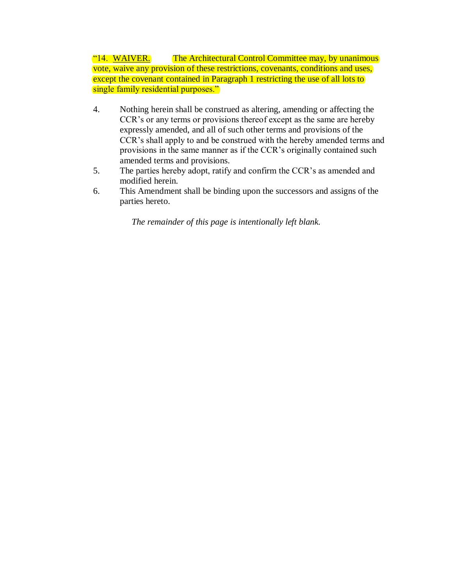"14. WAIVER. The Architectural Control Committee may, by unanimous vote, waive any provision of these restrictions, covenants, conditions and uses, except the covenant contained in Paragraph 1 restricting the use of all lots to single family residential purposes."

- 4. Nothing herein shall be construed as altering, amending or affecting the CCR's or any terms or provisions thereof except as the same are hereby expressly amended, and all of such other terms and provisions of the CCR's shall apply to and be construed with the hereby amended terms and provisions in the same manner as if the CCR's originally contained such amended terms and provisions.
- 5. The parties hereby adopt, ratify and confirm the CCR's as amended and modified herein.
- 6. This Amendment shall be binding upon the successors and assigns of the parties hereto.

*The remainder of this page is intentionally left blank.*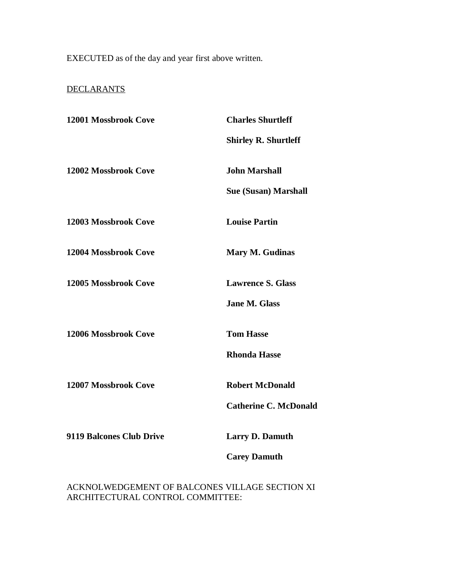EXECUTED as of the day and year first above written.

#### **DECLARANTS**

| 12001 Mossbrook Cove            | <b>Charles Shurtleff</b>     |
|---------------------------------|------------------------------|
|                                 | <b>Shirley R. Shurtleff</b>  |
| 12002 Mossbrook Cove            | <b>John Marshall</b>         |
|                                 | <b>Sue (Susan) Marshall</b>  |
| 12003 Mossbrook Cove            | <b>Louise Partin</b>         |
| 12004 Mossbrook Cove            | Mary M. Gudinas              |
| 12005 Mossbrook Cove            | <b>Lawrence S. Glass</b>     |
|                                 | <b>Jane M. Glass</b>         |
| 12006 Mossbrook Cove            | <b>Tom Hasse</b>             |
|                                 | <b>Rhonda Hasse</b>          |
| 12007 Mossbrook Cove            | <b>Robert McDonald</b>       |
|                                 | <b>Catherine C. McDonald</b> |
| <b>9119 Balcones Club Drive</b> | <b>Larry D. Damuth</b>       |
|                                 | <b>Carey Damuth</b>          |

### ACKNOLWEDGEMENT OF BALCONES VILLAGE SECTION XI ARCHITECTURAL CONTROL COMMITTEE: